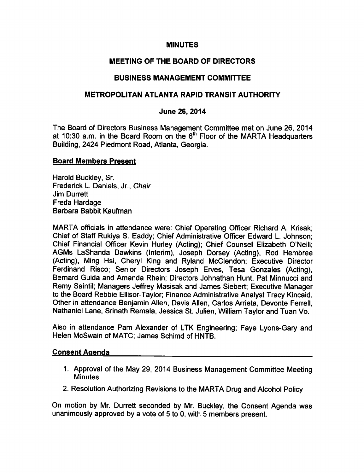## **MINUTES**

# MEETING OF THE BOARD OF DIRECTORS

# BUSINESS MANAGEMENT COMMITTEE

## METROPOLITAN ATLANTA RAPID TRANSIT AUTHORITY

## June 26, 2014

The Board of Directors Business Management Committee met on June 26, 2014 at 10:30 a.m. in the Board Room on the  $6<sup>th</sup>$  Floor of the MARTA Headquarters Building, 2424 Piedmont Road, Atlanta, Georgia.

### Board Members Present

Harold Buckley, Sr. Frederick L. Daniels, Jr., Chair Jim Durrett Freda Hardage Barbara Babbit Kaufman

MARTA officials in attendance were: Chief Operating Officer Richard A. Krisak; Chief of Staff Rukiya S. Eaddy; Chief Administrative Officer Edward L. Johnson; Chief Financial Officer Kevin Hurley (Acting); Chief Counsel Elizabeth O'Neill; AGMs LaShanda Dawkins (Interim), Joseph Dorsey (Acting), Rod Hembree (Acting), Ming Hsi, Cheryl King and Ryland McClendon; Executive Director Ferdinand Risco; Senior Directors Joseph Erves, Tesa Gonzales (Acting), Bernard Guida and Amanda Rhein; Directors Johnathan Hunt, Pat Minnucci and Remy Saintil; Managers Jeffrey Masisak and James Siebert; Executive Manager to the Board Rebbie Ellisor-Taylor; Finance Administrative Analyst Tracy Kincaid. Other in attendance Benjamin Allen, Davis Allen, Carlos Arrieta, Devonte Ferrell, Nathaniel Lane, Srinath Remala, Jessica St. Julien, William Taylor and Tuan Vo.

Also in attendance Pam Alexander of LTK Engineering; Faye Lyons-Gary and Helen McSwain of MATC; James Schimd of HNTB.

## Consent Agenda

- 1. Approval of the May 29, 2014 Business Management Committee Meeting **Minutes**
- 2. Resolution Authorizing Revisions to the MARTA Drug and Alcohol Policy

On motion by Mr. Durrett seconded by Mr. Buckley, the Consent Agenda was unanimously approved by a vote of 5 to 0, with 5 members present.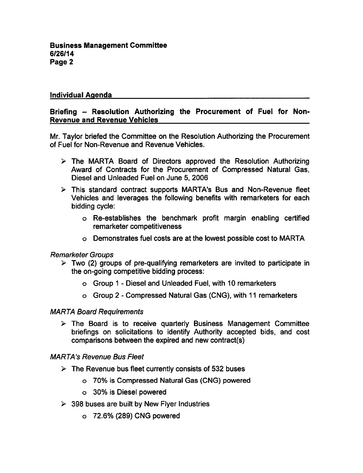## Individual Agenda

## Briefing - Resolution Authorizing the Procurement of Fuel for Non-Revenue and Revenue Vehicles

Mr. Taylor briefed the Committee on the Resolution Authorizing the Procurement of Fuel for Non-Revenue and Revenue Vehicles.

- $\triangleright$  The MARTA Board of Directors approved the Resolution Authorizing Award of Contracts for the Procurement of Compressed Natural Gas, Diesel and Unleaded Fuel on June 5, 2006
- This standard contract supports MARTA's Bus and Non-Revenue fleet Vehicles and leverages the following benefits with remarketers for each bidding cycle:
	- Re-establishes the benchmark profit margin enabling certified remarketer competitiveness
	- Demonstrates fuel costs are at the lowest possible cost to MARTA

#### Remarketer Groups

- $\geq$  Two (2) groups of pre-qualifying remarketers are invited to participate in the on-going competitive bidding process:
	- $\circ$  Group 1 Diesel and Unleaded Fuel, with 10 remarketers
	- o Group 2 Compressed Natural Gas (CNG), with 11 remarketers

#### MARTA Board Requirements

 $\triangleright$  The Board is to receive quarterly Business Management Committee briefings on solicitations to identify Authority accepted bids, and cost comparisons between the expired and new contract(s)

#### MARTA's Revenue Bus Fleet

- $\triangleright$  The Revenue bus fleet currently consists of 532 buses
	- 70% is Compressed Natural Gas (CNG) powered
	- 30% is Diesel powered
- $\geq$  398 buses are built by New Flyer Industries
	- 72.6% (289) CNG powered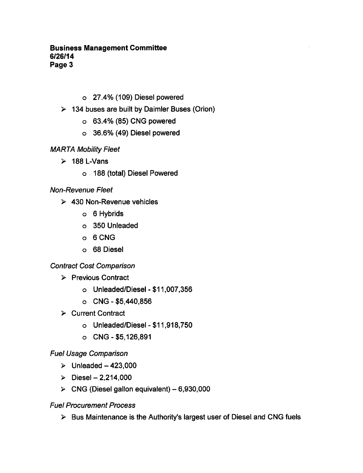## Business Management Committee 6/26/14 Page 3

- 27.4% (109) Diesel powered
- $\geq$  134 buses are built by Daimler Buses (Orion)
	- 63.4% (85) CNG powered
	- o 36.6% (49) Diesel powered
- MARTA Mobility Fleet
	- $\geq 188$  L-Vans
		- 188 (total) Diesel Powered

# Non-Revenue Fleet

- $\geq$  430 Non-Revenue vehicles
	- o 6 Hybrids
	- o 350 Unleaded
	- $o$  6 CNG
	- 68 Diesel

## Contract Cost Comparison

- $\triangleright$  Previous Contract
	- o Unleaded/Diesel \$11,007,356
	- $O$  CNG \$5,440,856
- **≻** Current Contract
	- $o$  Unleaded/Diesel \$11,918,750
	- $O$  CNG \$5,126,891

## Fuel Usage Comparison

- $\geq$  Unleaded -423,000
- $\triangleright$  Diesel 2,214,000
- $\triangleright$  CNG (Diesel gallon equivalent) 6,930,000

## Fuel Procurement Process

 $\triangleright$  Bus Maintenance is the Authority's largest user of Diesel and CNG fuels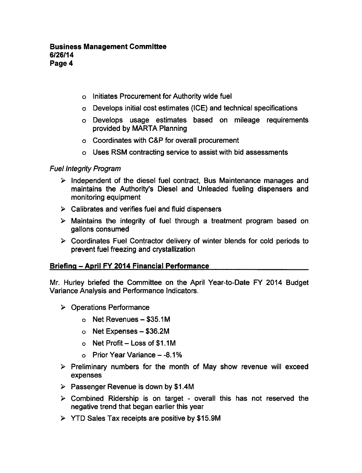- o Initiates Procurement for Authority wide fuel
- Develops initial cost estimates (ICE) and technical specifications
- Develops usage estimates based on mileage requirements provided by MARTA Planning
- Coordinates with C&P for overall procurement
- Uses RSM contracting service to assist with bid assessments

### Fuel Integrity Program

- $\triangleright$  Independent of the diesel fuel contract, Bus Maintenance manages and maintains the Authority's Diesel and Unleaded fueling dispensers and monitoring equipment
- $\triangleright$  Calibrates and verifies fuel and fluid dispensers
- $\triangleright$  Maintains the integrity of fuel through a treatment program based on gallons consumed
- $\triangleright$  Coordinates Fuel Contractor delivery of winter blends for cold periods to prevent fuel freezing and crystallization

## Briefing - April FY 2014 Financial Performance

Mr. Hurley briefed the Committee on the April Year-to-Date FY 2014 Budget Variance Analysis and Performance Indicators.

- Operations Performance
	- $\circ$  Net Revenues \$35.1M
	- $\circ$  Net Expenses \$36.2M
	- o Net Profit Loss of \$1.1M
	- $\circ$  Prior Year Variance  $-8.1\%$
- $\triangleright$  Preliminary numbers for the month of May show revenue will exceed expenses
- $\triangleright$  Passenger Revenue is down by \$1.4M
- $\triangleright$  Combined Ridership is on target overall this has not reserved the negative trend that began earlier this year
- YTD Sales Tax receipts are positive by \$15.9M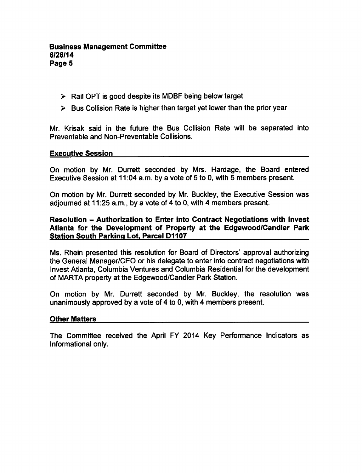### Business Management Committee 6/26/14 Page 5

- $\triangleright$  Rail OPT is good despite its MDBF being below target
- $\triangleright$  Bus Collision Rate is higher than target yet lower than the prior year

Mr. Krisak said in the future the Bus Collision Rate will be separated into Preventable and Non-Preventable Collisions.

### Executive Session

On motion by Mr. Durrett seconded by Mrs. Hardage, the Board entered Executive Session at 11:04 a.m. by a vote of 5 to 0, with 5 members present.

On motion by Mr. Durrett seconded by Mr. Buckley, the Executive Session was adjourned at  $11:25$  a.m., by a vote of 4 to 0, with 4 members present.

## Resolution – Authorization to Enter into Contract Negotiations with Invest Atlanta for the Development of Property at the Edgewood/Candler Park Station South Parking Lot. Parcel D1107

Ms. Rhein presented this resolution for Board of Directors' approval authorizing the General Manager/CEO or his delegate to enter into contract negotiations with Invest Atlanta, Columbia Ventures and Columbia Residential for the development of MARTA property at the Edgewood/Candler Park Station.

On motion by Mr. Durrett seconded by Mr. Buckley, the resolution was unanimously approved by a vote of 4 to 0, with 4 members present.

#### Other Matters

The Committee received the April FY 2014 Key Performance Indicators as Informational only.